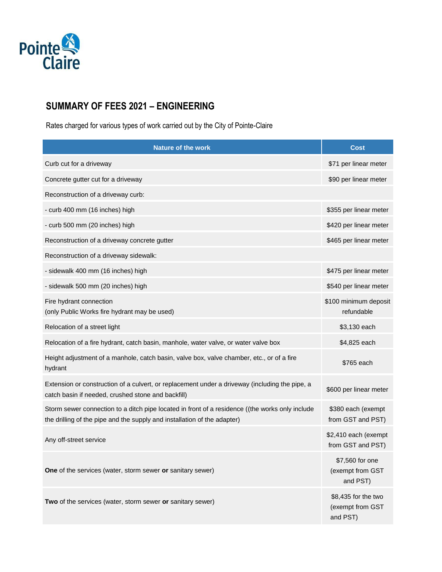

## **SUMMARY OF FEES 2021 – ENGINEERING**

Rates charged for various types of work carried out by the City of Pointe-Claire

| <b>Nature of the work</b>                                                                                                                                                   | <b>Cost</b>                                         |
|-----------------------------------------------------------------------------------------------------------------------------------------------------------------------------|-----------------------------------------------------|
| Curb cut for a driveway                                                                                                                                                     | \$71 per linear meter                               |
| Concrete gutter cut for a driveway                                                                                                                                          | \$90 per linear meter                               |
| Reconstruction of a driveway curb:                                                                                                                                          |                                                     |
| - curb 400 mm (16 inches) high                                                                                                                                              | \$355 per linear meter                              |
| - curb 500 mm (20 inches) high                                                                                                                                              | \$420 per linear meter                              |
| Reconstruction of a driveway concrete gutter                                                                                                                                | \$465 per linear meter                              |
| Reconstruction of a driveway sidewalk:                                                                                                                                      |                                                     |
| - sidewalk 400 mm (16 inches) high                                                                                                                                          | \$475 per linear meter                              |
| - sidewalk 500 mm (20 inches) high                                                                                                                                          | \$540 per linear meter                              |
| Fire hydrant connection<br>(only Public Works fire hydrant may be used)                                                                                                     | \$100 minimum deposit<br>refundable                 |
| Relocation of a street light                                                                                                                                                | \$3,130 each                                        |
| Relocation of a fire hydrant, catch basin, manhole, water valve, or water valve box                                                                                         | \$4,825 each                                        |
| Height adjustment of a manhole, catch basin, valve box, valve chamber, etc., or of a fire<br>hydrant                                                                        | \$765 each                                          |
| Extension or construction of a culvert, or replacement under a driveway (including the pipe, a<br>catch basin if needed, crushed stone and backfill)                        | \$600 per linear meter                              |
| Storm sewer connection to a ditch pipe located in front of a residence ((the works only include<br>the drilling of the pipe and the supply and installation of the adapter) | \$380 each (exempt<br>from GST and PST)             |
| Any off-street service                                                                                                                                                      | \$2,410 each (exempt<br>from GST and PST)           |
| One of the services (water, storm sewer or sanitary sewer)                                                                                                                  | \$7,560 for one<br>(exempt from GST<br>and PST)     |
| Two of the services (water, storm sewer or sanitary sewer)                                                                                                                  | \$8,435 for the two<br>(exempt from GST<br>and PST) |